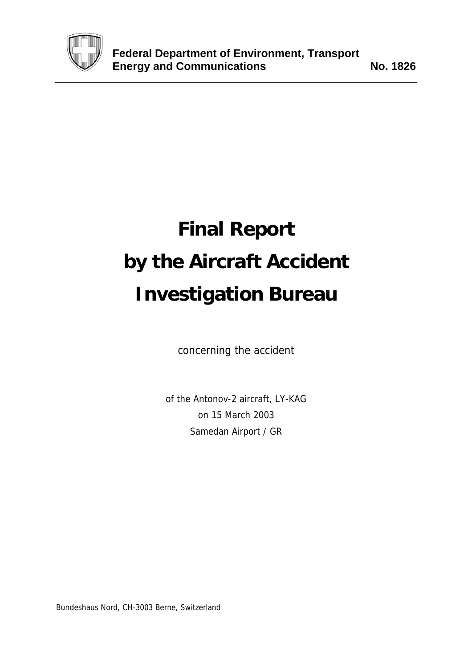

# **Final Report by the Aircraft Accident Investigation Bureau**

concerning the accident

of the Antonov-2 aircraft, LY-KAG on 15 March 2003 Samedan Airport / GR

Bundeshaus Nord, CH-3003 Berne, Switzerland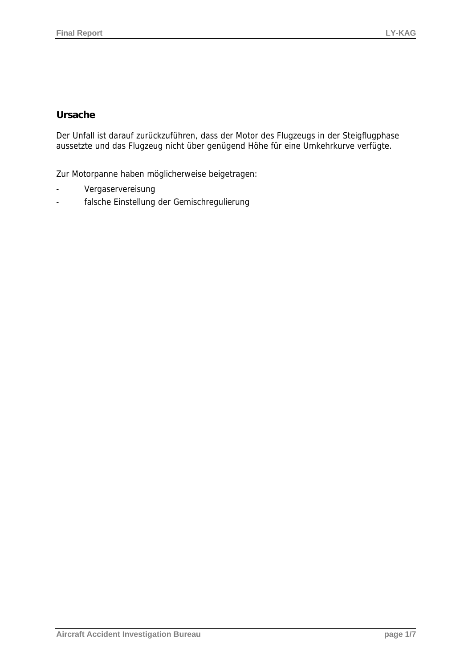## **Ursache**

Der Unfall ist darauf zurückzuführen, dass der Motor des Flugzeugs in der Steigflugphase aussetzte und das Flugzeug nicht über genügend Höhe für eine Umkehrkurve verfügte.

Zur Motorpanne haben möglicherweise beigetragen:

- Vergaservereisung
- falsche Einstellung der Gemischregulierung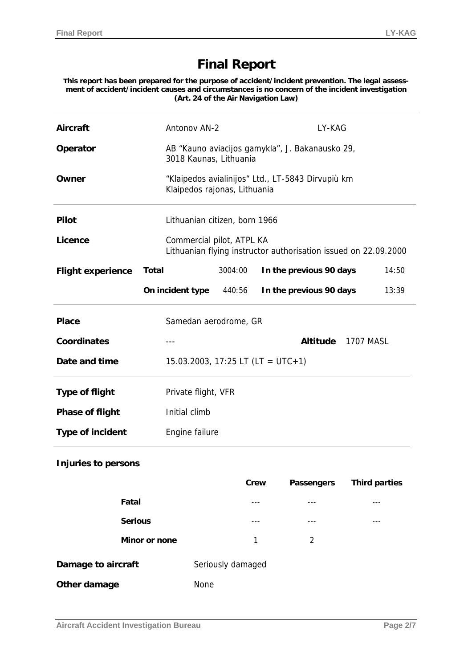# **Final Report**

**This report has been prepared for the purpose of accident/incident prevention. The legal assessment of accident/incident causes and circumstances is no concern of the incident investigation (Art. 24 of the Air Navigation Law)** 

| <b>Aircraft</b>          |                | Antonov AN-2                                                                                 |                   |      | LY-KAG                                            |                      |
|--------------------------|----------------|----------------------------------------------------------------------------------------------|-------------------|------|---------------------------------------------------|----------------------|
| Operator                 |                | 3018 Kaunas, Lithuania                                                                       |                   |      | AB "Kauno aviacijos gamykla", J. Bakanausko 29,   |                      |
| Owner                    |                | Klaipedos rajonas, Lithuania                                                                 |                   |      | "Klaipedos avialinijos" Ltd., LT-5843 Dirvupiù km |                      |
| <b>Pilot</b>             |                | Lithuanian citizen, born 1966                                                                |                   |      |                                                   |                      |
| Licence                  |                | Commercial pilot, ATPL KA<br>Lithuanian flying instructor authorisation issued on 22.09.2000 |                   |      |                                                   |                      |
| <b>Flight experience</b> | <b>Total</b>   |                                                                                              | 3004:00           |      | In the previous 90 days                           | 14:50                |
|                          |                | On incident type                                                                             | 440:56            |      | In the previous 90 days                           | 13:39                |
| <b>Place</b>             |                | Samedan aerodrome, GR                                                                        |                   |      |                                                   |                      |
| <b>Coordinates</b>       |                |                                                                                              |                   |      | <b>Altitude</b>                                   | <b>1707 MASL</b>     |
| Date and time            |                | $15.03.2003$ , $17:25$ LT (LT = UTC+1)                                                       |                   |      |                                                   |                      |
| <b>Type of flight</b>    |                | Private flight, VFR                                                                          |                   |      |                                                   |                      |
| <b>Phase of flight</b>   |                | Initial climb                                                                                |                   |      |                                                   |                      |
| <b>Type of incident</b>  |                | Engine failure                                                                               |                   |      |                                                   |                      |
| Injuries to persons      |                |                                                                                              |                   |      |                                                   |                      |
|                          |                |                                                                                              |                   | Crew | Passengers                                        | <b>Third parties</b> |
|                          | Fatal          |                                                                                              | ---               |      | ---                                               | ---                  |
|                          | <b>Serious</b> |                                                                                              | ---               |      | ---                                               | $---$                |
|                          | Minor or none  |                                                                                              | 1                 |      | 2                                                 |                      |
| Damage to aircraft       |                |                                                                                              | Seriously damaged |      |                                                   |                      |
| Other damage             |                | None                                                                                         |                   |      |                                                   |                      |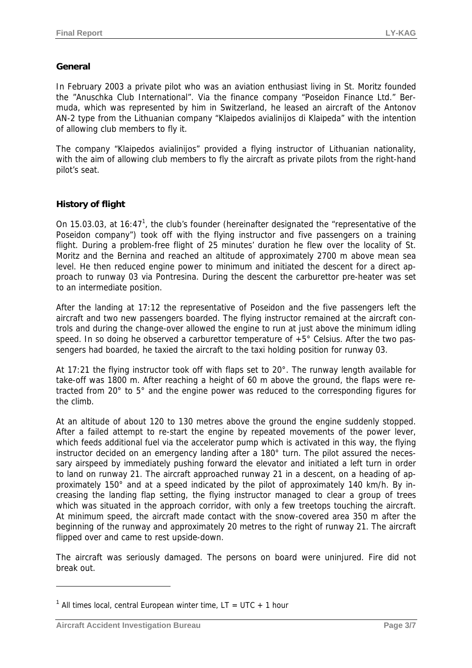#### **General**

In February 2003 a private pilot who was an aviation enthusiast living in St. Moritz founded the "Anuschka Club International". Via the finance company "Poseidon Finance Ltd." Bermuda, which was represented by him in Switzerland, he leased an aircraft of the Antonov AN-2 type from the Lithuanian company "Klaipedos avialinijos di Klaipeda" with the intention of allowing club members to fly it.

The company "Klaipedos avialinijos" provided a flying instructor of Lithuanian nationality, with the aim of allowing club members to fly the aircraft as private pilots from the right-hand pilot's seat.

### **History of flight**

On 15.03.03, at 16:47<sup>1</sup>, the club's founder (hereinafter designated the "representative of the Poseidon company") took off with the flying instructor and five passengers on a training flight. During a problem-free flight of 25 minutes' duration he flew over the locality of St. Moritz and the Bernina and reached an altitude of approximately 2700 m above mean sea level. He then reduced engine power to minimum and initiated the descent for a direct approach to runway 03 via Pontresina. During the descent the carburettor pre-heater was set to an intermediate position.

After the landing at 17:12 the representative of Poseidon and the five passengers left the aircraft and two new passengers boarded. The flying instructor remained at the aircraft controls and during the change-over allowed the engine to run at just above the minimum idling speed. In so doing he observed a carburettor temperature of  $+5^{\circ}$  Celsius. After the two passengers had boarded, he taxied the aircraft to the taxi holding position for runway 03.

At 17:21 the flying instructor took off with flaps set to 20°. The runway length available for take-off was 1800 m. After reaching a height of 60 m above the ground, the flaps were retracted from 20° to 5° and the engine power was reduced to the corresponding figures for the climb.

At an altitude of about 120 to 130 metres above the ground the engine suddenly stopped. After a failed attempt to re-start the engine by repeated movements of the power lever, which feeds additional fuel via the accelerator pump which is activated in this way, the flying instructor decided on an emergency landing after a 180° turn. The pilot assured the necessary airspeed by immediately pushing forward the elevator and initiated a left turn in order to land on runway 21. The aircraft approached runway 21 in a descent, on a heading of approximately 150° and at a speed indicated by the pilot of approximately 140 km/h. By increasing the landing flap setting, the flying instructor managed to clear a group of trees which was situated in the approach corridor, with only a few treetops touching the aircraft. At minimum speed, the aircraft made contact with the snow-covered area 350 m after the beginning of the runway and approximately 20 metres to the right of runway 21. The aircraft flipped over and came to rest upside-down.

The aircraft was seriously damaged. The persons on board were uninjured. Fire did not break out.

 $\overline{a}$ 

<sup>&</sup>lt;sup>1</sup> All times local, central European winter time,  $LT = UTC + 1$  hour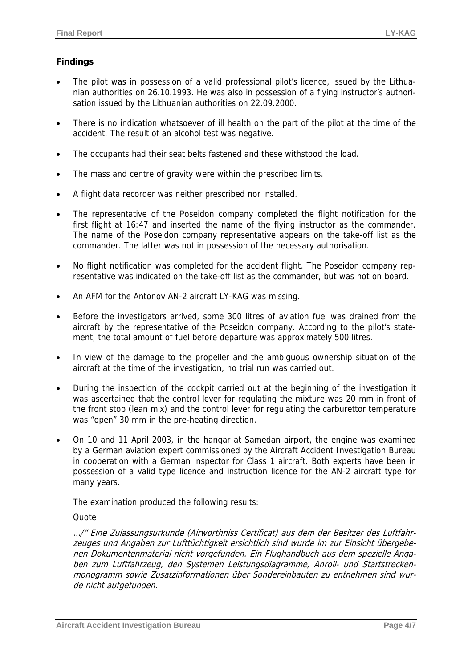## **Findings**

- The pilot was in possession of a valid professional pilot's licence, issued by the Lithuanian authorities on 26.10.1993. He was also in possession of a flying instructor's authorisation issued by the Lithuanian authorities on 22.09.2000.
- There is no indication whatsoever of ill health on the part of the pilot at the time of the accident. The result of an alcohol test was negative.
- The occupants had their seat belts fastened and these withstood the load.
- The mass and centre of gravity were within the prescribed limits.
- A flight data recorder was neither prescribed nor installed.
- The representative of the Poseidon company completed the flight notification for the first flight at 16:47 and inserted the name of the flying instructor as the commander. The name of the Poseidon company representative appears on the take-off list as the commander. The latter was not in possession of the necessary authorisation.
- No flight notification was completed for the accident flight. The Poseidon company representative was indicated on the take-off list as the commander, but was not on board.
- An AFM for the Antonov AN-2 aircraft LY-KAG was missing.
- Before the investigators arrived, some 300 litres of aviation fuel was drained from the aircraft by the representative of the Poseidon company. According to the pilot's statement, the total amount of fuel before departure was approximately 500 litres.
- In view of the damage to the propeller and the ambiguous ownership situation of the aircraft at the time of the investigation, no trial run was carried out.
- During the inspection of the cockpit carried out at the beginning of the investigation it was ascertained that the control lever for regulating the mixture was 20 mm in front of the front stop (lean mix) and the control lever for regulating the carburettor temperature was "open" 30 mm in the pre-heating direction.
- On 10 and 11 April 2003, in the hangar at Samedan airport, the engine was examined by a German aviation expert commissioned by the Aircraft Accident Investigation Bureau in cooperation with a German inspector for Class 1 aircraft. Both experts have been in possession of a valid type licence and instruction licence for the AN-2 aircraft type for many years.

The examination produced the following results:

**Quote** 

…/" Eine Zulassungsurkunde (Airworthniss Certificat) aus dem der Besitzer des Luftfahrzeuges und Angaben zur Lufttüchtigkeit ersichtlich sind wurde im zur Einsicht übergebenen Dokumentenmaterial nicht vorgefunden. Ein Flughandbuch aus dem spezielle Angaben zum Luftfahrzeug, den Systemen Leistungsdiagramme, Anroll- und Startstreckenmonogramm sowie Zusatzinformationen über Sondereinbauten zu entnehmen sind wurde nicht aufgefunden.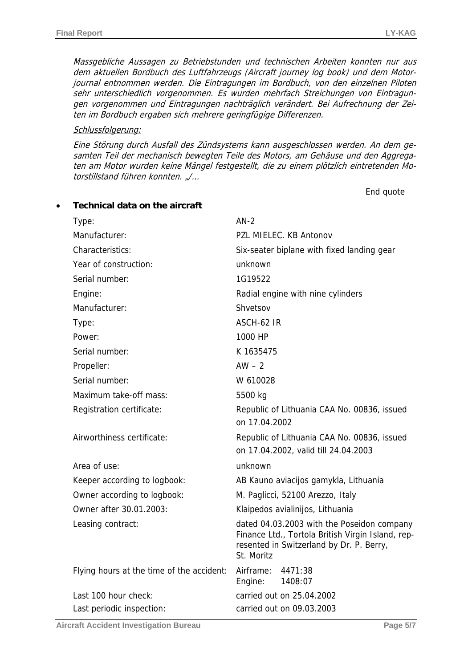Massgebliche Aussagen zu Betriebstunden und technischen Arbeiten konnten nur aus dem aktuellen Bordbuch des Luftfahrzeugs (Aircraft journey log book) und dem Motorjournal entnommen werden. Die Eintragungen im Bordbuch, von den einzelnen Piloten sehr unterschiedlich vorgenommen. Es wurden mehrfach Streichungen von Eintragungen vorgenommen und Eintragungen nachträglich verändert. Bei Aufrechnung der Zeiten im Bordbuch ergaben sich mehrere geringfügige Differenzen.

#### Schlussfolgerung:

Eine Störung durch Ausfall des Zündsystems kann ausgeschlossen werden. An dem gesamten Teil der mechanisch bewegten Teile des Motors, am Gehäuse und den Aggregaten am Motor wurden keine Mängel festgestellt, die zu einem plötzlich eintretenden Motorstillstand führen konnten. "/…

End quote

| Type:                                     | $AN-2$                                                                                                                                                    |  |  |  |
|-------------------------------------------|-----------------------------------------------------------------------------------------------------------------------------------------------------------|--|--|--|
| Manufacturer:                             | PZL MIELEC. KB Antonov                                                                                                                                    |  |  |  |
| Characteristics:                          | Six-seater biplane with fixed landing gear                                                                                                                |  |  |  |
| Year of construction:                     | unknown                                                                                                                                                   |  |  |  |
| Serial number:                            | 1G19522                                                                                                                                                   |  |  |  |
| Engine:                                   | Radial engine with nine cylinders                                                                                                                         |  |  |  |
| Manufacturer:                             | Shvetsov                                                                                                                                                  |  |  |  |
| Type:                                     | ASCH-62 IR                                                                                                                                                |  |  |  |
| Power:                                    | 1000 HP                                                                                                                                                   |  |  |  |
| Serial number:                            | K 1635475                                                                                                                                                 |  |  |  |
| Propeller:                                | $AW - 2$                                                                                                                                                  |  |  |  |
| Serial number:                            | W 610028                                                                                                                                                  |  |  |  |
| Maximum take-off mass:                    | 5500 kg                                                                                                                                                   |  |  |  |
| Registration certificate:                 | Republic of Lithuania CAA No. 00836, issued<br>on 17.04.2002                                                                                              |  |  |  |
| Airworthiness certificate:                | Republic of Lithuania CAA No. 00836, issued<br>on 17.04.2002, valid till 24.04.2003                                                                       |  |  |  |
| Area of use:                              | unknown                                                                                                                                                   |  |  |  |
| Keeper according to logbook:              | AB Kauno aviacijos gamykla, Lithuania                                                                                                                     |  |  |  |
| Owner according to logbook:               | M. Paglicci, 52100 Arezzo, Italy                                                                                                                          |  |  |  |
| Owner after 30.01.2003:                   | Klaipedos avialinijos, Lithuania                                                                                                                          |  |  |  |
| Leasing contract:                         | dated 04.03.2003 with the Poseidon company<br>Finance Ltd., Tortola British Virgin Island, rep-<br>resented in Switzerland by Dr. P. Berry,<br>St. Moritz |  |  |  |
| Flying hours at the time of the accident: | Airframe:<br>4471:38<br>1408:07<br>Engine:                                                                                                                |  |  |  |
| Last 100 hour check:                      | carried out on 25.04.2002                                                                                                                                 |  |  |  |
| Last periodic inspection:                 | carried out on 09.03.2003                                                                                                                                 |  |  |  |

• **Technical data on the aircraft**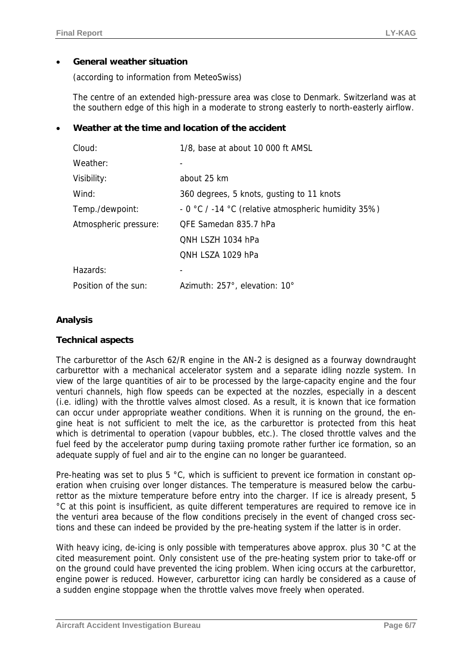#### • **General weather situation**

(according to information from MeteoSwiss)

The centre of an extended high-pressure area was close to Denmark. Switzerland was at the southern edge of this high in a moderate to strong easterly to north-easterly airflow.

#### • **Weather at the time and location of the accident**

| Cloud:                | 1/8, base at about 10 000 ft AMSL                   |  |  |
|-----------------------|-----------------------------------------------------|--|--|
| Weather:              |                                                     |  |  |
| Visibility:           | about 25 km                                         |  |  |
| Wind:                 | 360 degrees, 5 knots, gusting to 11 knots           |  |  |
| Temp./dewpoint:       | - 0 °C / -14 °C (relative atmospheric humidity 35%) |  |  |
| Atmospheric pressure: | QFE Samedan 835.7 hPa                               |  |  |
|                       | QNH LSZH 1034 hPa                                   |  |  |
|                       | QNH LSZA 1029 hPa                                   |  |  |
| Hazards:              |                                                     |  |  |
| Position of the sun:  | Azimuth: 257°, elevation: 10°                       |  |  |
|                       |                                                     |  |  |

#### **Analysis**

#### **Technical aspects**

The carburettor of the Asch 62/R engine in the AN-2 is designed as a fourway downdraught carburettor with a mechanical accelerator system and a separate idling nozzle system. In view of the large quantities of air to be processed by the large-capacity engine and the four venturi channels, high flow speeds can be expected at the nozzles, especially in a descent (i.e. idling) with the throttle valves almost closed. As a result, it is known that ice formation can occur under appropriate weather conditions. When it is running on the ground, the engine heat is not sufficient to melt the ice, as the carburettor is protected from this heat which is detrimental to operation (vapour bubbles, etc.). The closed throttle valves and the fuel feed by the accelerator pump during taxiing promote rather further ice formation, so an adequate supply of fuel and air to the engine can no longer be guaranteed.

Pre-heating was set to plus 5 °C, which is sufficient to prevent ice formation in constant operation when cruising over longer distances. The temperature is measured below the carburettor as the mixture temperature before entry into the charger. If ice is already present, 5 °C at this point is insufficient, as quite different temperatures are required to remove ice in the venturi area because of the flow conditions precisely in the event of changed cross sections and these can indeed be provided by the pre-heating system if the latter is in order.

With heavy icing, de-icing is only possible with temperatures above approx. plus 30 °C at the cited measurement point. Only consistent use of the pre-heating system prior to take-off or on the ground could have prevented the icing problem. When icing occurs at the carburettor, engine power is reduced. However, carburettor icing can hardly be considered as a cause of a sudden engine stoppage when the throttle valves move freely when operated.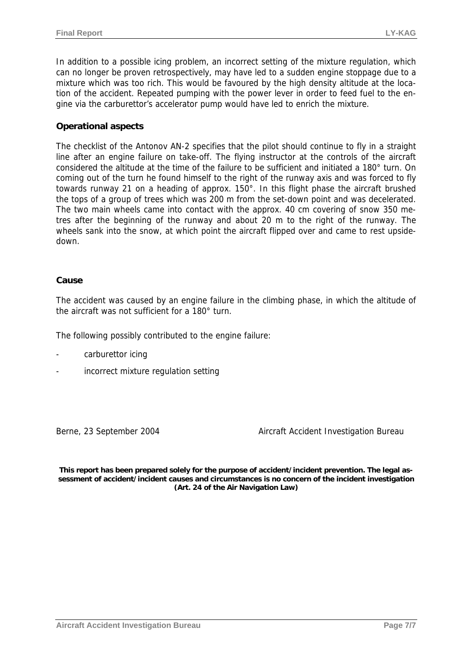In addition to a possible icing problem, an incorrect setting of the mixture regulation, which can no longer be proven retrospectively, may have led to a sudden engine stoppage due to a mixture which was too rich. This would be favoured by the high density altitude at the location of the accident. Repeated pumping with the power lever in order to feed fuel to the engine via the carburettor's accelerator pump would have led to enrich the mixture.

#### **Operational aspects**

The checklist of the Antonov AN-2 specifies that the pilot should continue to fly in a straight line after an engine failure on take-off. The flying instructor at the controls of the aircraft considered the altitude at the time of the failure to be sufficient and initiated a 180° turn. On coming out of the turn he found himself to the right of the runway axis and was forced to fly towards runway 21 on a heading of approx. 150°. In this flight phase the aircraft brushed the tops of a group of trees which was 200 m from the set-down point and was decelerated. The two main wheels came into contact with the approx. 40 cm covering of snow 350 metres after the beginning of the runway and about 20 m to the right of the runway. The wheels sank into the snow, at which point the aircraft flipped over and came to rest upsidedown.

#### **Cause**

The accident was caused by an engine failure in the climbing phase, in which the altitude of the aircraft was not sufficient for a 180° turn.

The following possibly contributed to the engine failure:

- carburettor icing
- incorrect mixture regulation setting

Berne, 23 September 2004 Aircraft Accident Investigation Bureau

**This report has been prepared solely for the purpose of accident/incident prevention. The legal assessment of accident/incident causes and circumstances is no concern of the incident investigation (Art. 24 of the Air Navigation Law)**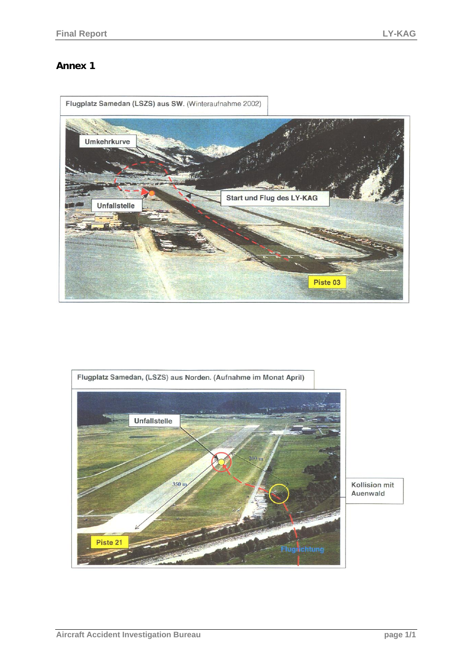# **Annex 1**